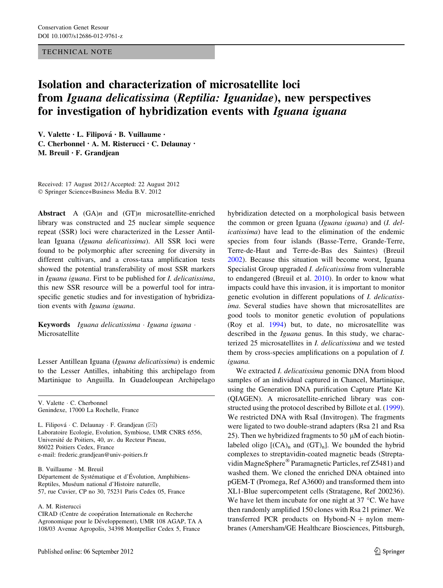## TECHNICAL NOTE

## Isolation and characterization of microsatellite loci from Iguana delicatissima (Reptilia: Iguanidae), new perspectives for investigation of hybridization events with Iguana iguana

V. Valette · L. Filipová · B. Vuillaume · C. Cherbonnel • A. M. Risterucci • C. Delaunay • M. Breuil • F. Grandjean

Received: 17 August 2012 / Accepted: 22 August 2012 - Springer Science+Business Media B.V. 2012

Abstract A  $(GA)n$  and  $(GT)n$  microsatellite-enriched library was constructed and 25 nuclear simple sequence repeat (SSR) loci were characterized in the Lesser Antillean Iguana (Iguana delicatissima). All SSR loci were found to be polymorphic after screening for diversity in different cultivars, and a cross-taxa amplification tests showed the potential transferability of most SSR markers in Iguana iguana. First to be published for I. delicatissima, this new SSR resource will be a powerful tool for intraspecific genetic studies and for investigation of hybridization events with Iguana iguana.

Keywords Iguana delicatissima · Iguana iguana · Microsatellite

Lesser Antillean Iguana (Iguana delicatissima) is endemic to the Lesser Antilles, inhabiting this archipelago from Martinique to Anguilla. In Guadeloupean Archipelago

V. Valette - C. Cherbonnel Genindexe, 17000 La Rochelle, France

L. Filipová · C. Delaunay · F. Grandjean (⊠) Laboratoire Ecologie, Evolution, Symbiose, UMR CNRS 6556, Université de Poitiers, 40, av. du Recteur Pineau, 86022 Poitiers Cedex, France e-mail: frederic.grandjean@univ-poitiers.fr

B. Vuillaume - M. Breuil Département de Systématique et d'Évolution, Amphibiens-Reptiles, Muséum national d'Histoire naturelle, 57, rue Cuvier, CP no 30, 75231 Paris Cedex 05, France

## A. M. Risterucci

CIRAD (Centre de coopération Internationale en Recherche Agronomique pour le Développement), UMR 108 AGAP, TA A 108/03 Avenue Agropolis, 34398 Montpellier Cedex 5, France

hybridization detected on a morphological basis between the common or green Iguana (Iguana iguana) and (I. delicatissima) have lead to the elimination of the endemic species from four islands (Basse-Terre, Grande-Terre, Terre-de-Haut and Terre-de-Bas des Saintes) (Breuil [2002](#page-2-0)). Because this situation will become worst, Iguana Specialist Group upgraded I. delicatissima from vulnerable to endangered (Breuil et al. [2010\)](#page-2-0). In order to know what impacts could have this invasion, it is important to monitor genetic evolution in different populations of I. delicatissima. Several studies have shown that microsatellites are good tools to monitor genetic evolution of populations (Roy et al. [1994\)](#page-2-0) but, to date, no microsatellite was described in the *Iguana* genus. In this study, we characterized 25 microsatellites in I. delicatissima and we tested them by cross-species amplifications on a population of I. iguana.

We extracted *I. delicatissima* genomic DNA from blood samples of an individual captured in Chancel, Martinique, using the Generation DNA purification Capture Plate Kit (QIAGEN). A microsatellite-enriched library was constructed using the protocol described by Billote et al. [\(1999](#page-2-0)). We restricted DNA with RsaI (Invitrogen). The fragments were ligated to two double-strand adapters (Rsa 21 and Rsa 25). Then we hybridized fragments to 50  $\mu$ M of each biotinlabeled oligo  $[(CA)_n$  and  $(GT)_n]$ . We bounded the hybrid complexes to streptavidin-coated magnetic beads (Streptavidin MagneSphere<sup>®</sup> Paramagnetic Particles, ref Z5481) and washed them. We cloned the enriched DNA obtained into pGEM-T (Promega, Ref A3600) and transformed them into XL1-Blue supercompetent cells (Stratagene, Ref 200236). We have let them incubate for one night at  $37^{\circ}$ C. We have then randomly amplified 150 clones with Rsa 21 primer. We transferred PCR products on Hybond-N  $+$  nylon membranes (Amersham/GE Healthcare Biosciences, Pittsburgh,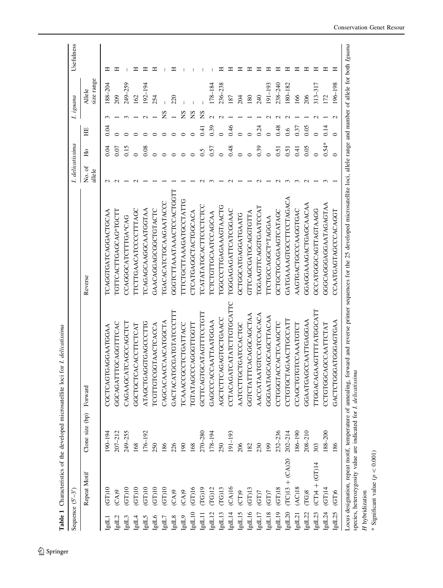<span id="page-1-0"></span>

| Sequence $(S'-3)$     | Table 1 Characteristics of the developed microsatellite loci     |                 | for 1. delicatissima        |                                                                                                                                                                                             | I. delicatissima   |         |         | I. iguana |                      | Usefulness |
|-----------------------|------------------------------------------------------------------|-----------------|-----------------------------|---------------------------------------------------------------------------------------------------------------------------------------------------------------------------------------------|--------------------|---------|---------|-----------|----------------------|------------|
|                       | Repeat Motif                                                     | Clone size (bp) | Forward                     | Reverse                                                                                                                                                                                     | ð<br>allele<br>Χo. | Е       | HE      |           | size range<br>Allele |            |
| Lbgl                  | $GT$ )10                                                         | 190-194         | GAGGAATGGAA<br>CGCTCAGT     | TCAGGTGATCAGGACTGCAA                                                                                                                                                                        |                    | D.04    | 0.04    |           | $188 - 204$          | ᄑ          |
| IgdL2                 | (CA)9                                                            | $207 - 212$     | TGCAGGTTTCAC<br>GGCAGATT    | IGTTCACTTGAGCAG <tgctt< td=""><td></td><td>0.07</td><td></td><td></td><td>209</td><td>ェ</td></tgctt<>                                                                                       |                    | 0.07    |         |           | 209                  | ェ          |
| IgdL3                 | (TT)10                                                           | 249-255         | CAGAAGCATCAGCCAGCTCT        | CCAGGGCATCTTTGA^CAG                                                                                                                                                                         |                    | 0.15    |         |           | 249-259              |            |
| LgdL4                 | (GT)10                                                           | 168             | GGCTGCTCACACCTTCTCAT        | ITCTTGAACATCCCCTTTAGC                                                                                                                                                                       |                    |         |         |           | 162                  | ᄑ          |
| IgdL5                 | (GT)10                                                           | $176 - 192$     | ATAGCTGAGGTGAGCCCTTG        | ICAGAGCAAGGCAATGGTAA                                                                                                                                                                        |                    | 0.08    |         |           | $192 - 194$          | ᄑ          |
| lgdL6                 | $GT$ )10                                                         | 250             | TCGTTGTCGGTAACTCACCA        | GAACAGGAGCGGCTGTACTC                                                                                                                                                                        |                    |         |         |           | 254                  | ェ          |
| $L_{\rm bol}$         | $GT$ )10                                                         | 186             | CAGCACAACCAACATGGCTA        | TGACACATCTGCAAGAATACCC                                                                                                                                                                      |                    |         |         | ΣN        |                      |            |
| IgdL8                 | (CA)9                                                            | 226             | GACTACATGCGATGTATCCCTTI     | GGGTCTTAAATAAACTCCACTGGTT                                                                                                                                                                   |                    |         |         |           | 220                  | ≖          |
| IgdL9                 | (CA)9                                                            | 190             | <b>TCAAACCGCCTCTGATTACC</b> | ITTCTGCTTAAAGATGCCTATTG                                                                                                                                                                     |                    |         |         | SN        |                      |            |
| $I$ gd $L10$          | (GT)16                                                           | 168             | TGTATAGCCCAGGGTTGGTT        | CTCATGAGGCTACTGGCACA                                                                                                                                                                        |                    |         |         | SN        |                      |            |
| IgdL11                | (TG)19                                                           | 270-280         | GCTTCAGTGCATAGTTTCCTGTT     | TCATATATGCACTTCCCTCTCC                                                                                                                                                                      |                    | 0.5     | 0.41    | SN        |                      |            |
| IgdL12                | (TG)12                                                           | 178-194         | GAGCCCACCAATTAATGGAA        | TCTCTGTTGCAATCCAGCAA                                                                                                                                                                        |                    | 0.57    | 0.39    |           | $178 - 184$          |            |
| IgdL13                | (TG)13                                                           | 250             | AGCTCTTCAGAGTGCTGAACC       | TGGCCCTTGAGAAAGTAACTG                                                                                                                                                                       |                    |         |         |           | 236-238              | ≖          |
| $\rm Ig dL14$         | (CA)16                                                           | 191-193         | CCTACAGATCATATCTTGTGCATTC   | TGGGAGAGATTCATCGGAAC                                                                                                                                                                        |                    | 0.48    | 0.46    |           | 187                  | ᆍ          |
| IgdL15                | (CT)9                                                            | 206             | AATCCTTGCTGATCCACTGC        | GCTGCATGAGGATGAATG                                                                                                                                                                          |                    |         |         |           | 204                  | ᄑ          |
| IgdL16                | $(T)$ 13                                                         | 182             | GGTCTATTTCACAGGCAGCTAA      | GTTCAGCGATGCAGGTGTTA                                                                                                                                                                        |                    |         |         |           | 180                  | 工          |
| $I$ gd<br>$I$ $\!7$   | (TT)                                                             | 230             | AACCATAATGTCCATCCACACA      | TGGAAGTTCAGGTGAATCCAT                                                                                                                                                                       |                    | 0.39    | 0.24    |           | 240                  | ᇁ          |
| $I$ gd<br>$I$ 18 $\,$ | (GT)                                                             | 199             | GGGAATAGCAGCAGCTTACAA       | <b>ITCTGCCAGGCT^TAGGAA</b>                                                                                                                                                                  |                    |         |         |           | $191 - 193$          | ≖          |
| IgdL19                | $GT$ )18                                                         | 232-236         | CCTGGGTACCACTCAAGCTC        | GCTGCTGCAGAAGTCATAGC                                                                                                                                                                        |                    | 0.51    | 0.48    |           | 238-240              | ᄑ          |
| $I$ gdL $20$          | $+$ (CA)20<br>(TC)13                                             | $202 - 214$     | CCTGTGCTAGAACTTGCCATT       | GATGAAAAGTGCCTTCCTAGACA                                                                                                                                                                     |                    | 0.51    | 0.6     |           | $180 - 182$          | ᇁ          |
| IgdL21                | (AC)18                                                           | $186 - 190$     | CCAGCTGTGTCCAAATGTCT        | AAGTGACTGCCCAAGGTGAC                                                                                                                                                                        |                    | 0.41    | 0.37    |           | 166                  | ᄑ          |
| IgdL22                | (TG)8                                                            | $208 - 210$     | GGAATGAGCCAATTGAGGAA        | GGAGGAAAGACTGAGCAACAA                                                                                                                                                                       |                    | 0.05    | 0.05    |           | 206                  | ᇁ          |
| IgdL23                | $(CT)4 + (GT)14$                                                 | 303             | TTGGACAGAAGTTTTATGGCATT     | GCCATGGGCAGTTAGTAAGG                                                                                                                                                                        |                    |         |         |           | 313-317              | ᇁ          |
| $\rm IgdL24$          | $(T)$ 14                                                         | 188-200         | CCTGTGGCAGCCAATTCTAT        | GGGCAGGGAGGAATAGAGTAA                                                                                                                                                                       |                    | $0.54*$ | 0.14    |           | 172                  | ᇁ          |
| IgdL25                | (TD)                                                             | 186             | GACTCTGGGATGGGAGTGAA        | CCAATGAGTAGCCACAGGT                                                                                                                                                                         |                    |         | $\circ$ |           | 196-198              | Ξ          |
|                       | species, heterozygosity value are indicated for I. delicatissima |                 |                             | Locus designation, repeat motif, temperature of annealing, forward and reverse primer sequences for the 25 developed microsatellite loci, allele range and number of allele for both Iguana |                    |         |         |           |                      |            |
| H hybridization       |                                                                  |                 |                             |                                                                                                                                                                                             |                    |         |         |           |                      |            |
|                       | * Significant value ( $p < 0.001$ )                              |                 |                             |                                                                                                                                                                                             |                    |         |         |           |                      |            |